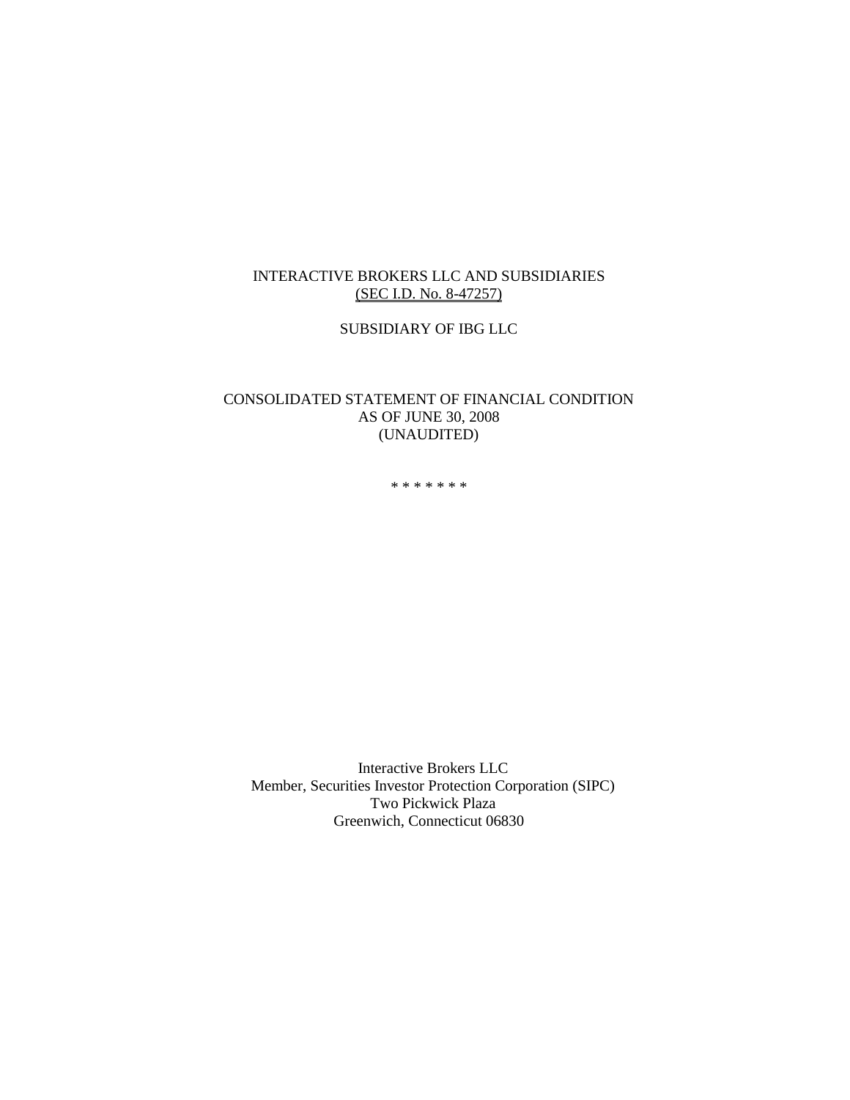# INTERACTIVE BROKERS LLC AND SUBSIDIARIES (SEC I.D. No. 8-47257)

SUBSIDIARY OF IBG LLC

# CONSOLIDATED STATEMENT OF FINANCIAL CONDITION AS OF JUNE 30, 2008 (UNAUDITED)

\* \* \* \* \* \* \*

Interactive Brokers LLC Member, Securities Investor Protection Corporation (SIPC) Two Pickwick Plaza Greenwich, Connecticut 06830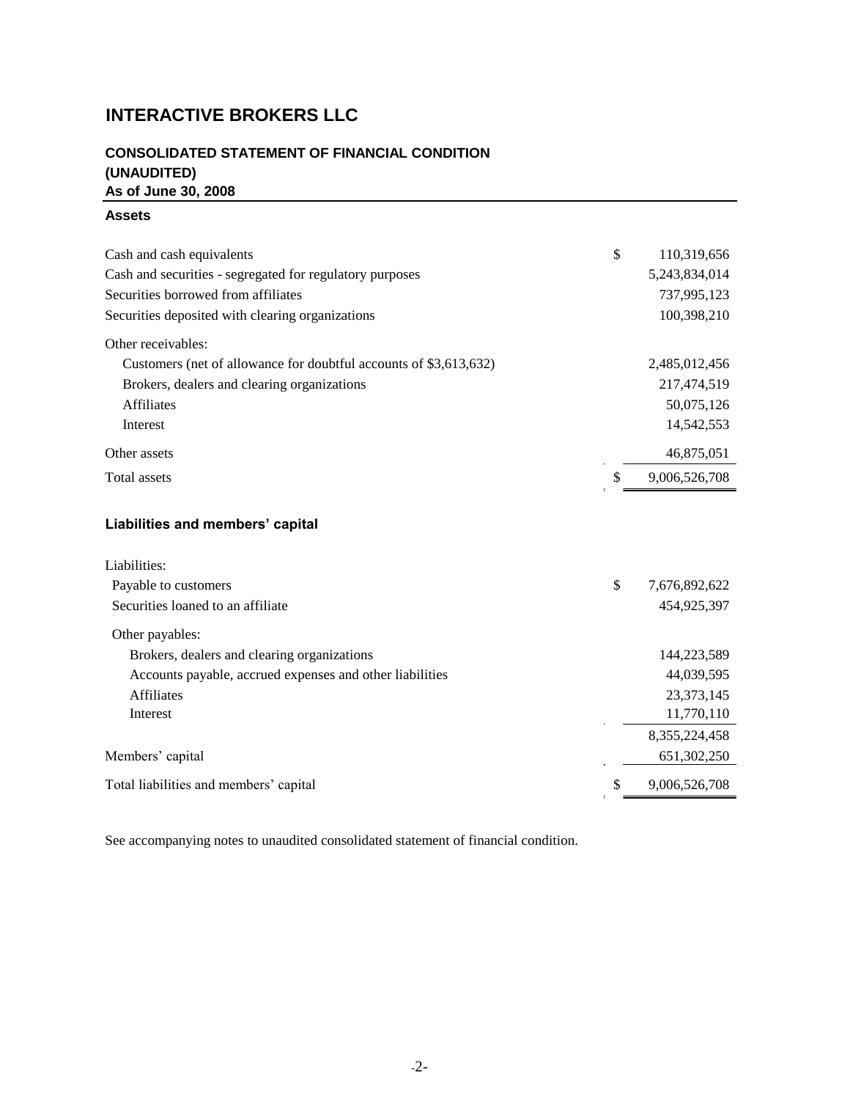# **INTERACTIVE BROKERS LLC**

# **CONSOLIDATED STATEMENT OF FINANCIAL CONDITION (UNAUDITED) As of June 30, 2008**

## **Assets**

| Cash and cash equivalents                                         | \$<br>110,319,656   |
|-------------------------------------------------------------------|---------------------|
| Cash and securities - segregated for regulatory purposes          | 5, 243, 834, 014    |
| Securities borrowed from affiliates                               | 737,995,123         |
| Securities deposited with clearing organizations                  | 100,398,210         |
| Other receivables:                                                |                     |
| Customers (net of allowance for doubtful accounts of \$3,613,632) | 2,485,012,456       |
| Brokers, dealers and clearing organizations                       | 217,474,519         |
| <b>Affiliates</b>                                                 | 50,075,126          |
| Interest                                                          | 14,542,553          |
| Other assets                                                      | 46,875,051          |
| <b>Total assets</b>                                               | \$<br>9,006,526,708 |
| Liabilities and members' capital                                  |                     |
| Liabilities:                                                      |                     |
| Payable to customers                                              | \$<br>7,676,892,622 |
| Securities loaned to an affiliate                                 | 454,925,397         |

Other payables:

| OUIG payables.                                           |               |
|----------------------------------------------------------|---------------|
| Brokers, dealers and clearing organizations              | 144,223,589   |
| Accounts payable, accrued expenses and other liabilities | 44,039,595    |
| <b>Affiliates</b>                                        | 23, 373, 145  |
| Interest                                                 | 11,770,110    |
|                                                          | 8,355,224,458 |
| Members' capital                                         | 651,302,250   |
| Total liabilities and members' capital                   | 9,006,526,708 |

See accompanying notes to unaudited consolidated statement of financial condition.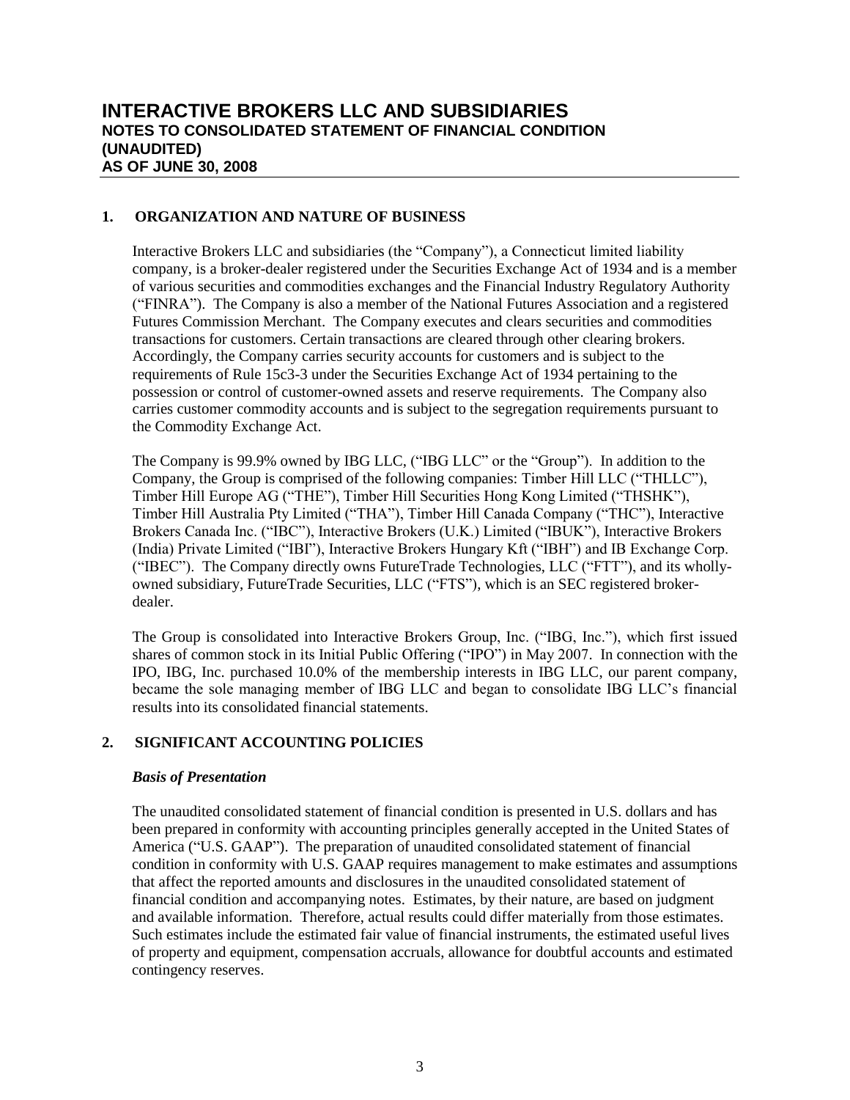## **1. ORGANIZATION AND NATURE OF BUSINESS**

Interactive Brokers LLC and subsidiaries (the "Company"), a Connecticut limited liability company, is a broker-dealer registered under the Securities Exchange Act of 1934 and is a member of various securities and commodities exchanges and the Financial Industry Regulatory Authority ("FINRA"). The Company is also a member of the National Futures Association and a registered Futures Commission Merchant. The Company executes and clears securities and commodities transactions for customers. Certain transactions are cleared through other clearing brokers. Accordingly, the Company carries security accounts for customers and is subject to the requirements of Rule 15c3-3 under the Securities Exchange Act of 1934 pertaining to the possession or control of customer-owned assets and reserve requirements. The Company also carries customer commodity accounts and is subject to the segregation requirements pursuant to the Commodity Exchange Act.

The Company is 99.9% owned by IBG LLC, ("IBG LLC" or the "Group"). In addition to the Company, the Group is comprised of the following companies: Timber Hill LLC ("THLLC"), Timber Hill Europe AG ("THE"), Timber Hill Securities Hong Kong Limited ("THSHK"), Timber Hill Australia Pty Limited ("THA"), Timber Hill Canada Company ("THC"), Interactive Brokers Canada Inc. ("IBC"), Interactive Brokers (U.K.) Limited ("IBUK"), Interactive Brokers (India) Private Limited ("IBI"), Interactive Brokers Hungary Kft ("IBH") and IB Exchange Corp. ("IBEC"). The Company directly owns FutureTrade Technologies, LLC ("FTT"), and its whollyowned subsidiary, FutureTrade Securities, LLC ("FTS"), which is an SEC registered brokerdealer.

The Group is consolidated into Interactive Brokers Group, Inc. ("IBG, Inc."), which first issued shares of common stock in its Initial Public Offering ("IPO") in May 2007. In connection with the IPO, IBG, Inc. purchased 10.0% of the membership interests in IBG LLC, our parent company, became the sole managing member of IBG LLC and began to consolidate IBG LLC's financial results into its consolidated financial statements.

# **2. SIGNIFICANT ACCOUNTING POLICIES**

## *Basis of Presentation*

The unaudited consolidated statement of financial condition is presented in U.S. dollars and has been prepared in conformity with accounting principles generally accepted in the United States of America ("U.S. GAAP"). The preparation of unaudited consolidated statement of financial condition in conformity with U.S. GAAP requires management to make estimates and assumptions that affect the reported amounts and disclosures in the unaudited consolidated statement of financial condition and accompanying notes. Estimates, by their nature, are based on judgment and available information. Therefore, actual results could differ materially from those estimates. Such estimates include the estimated fair value of financial instruments, the estimated useful lives of property and equipment, compensation accruals, allowance for doubtful accounts and estimated contingency reserves.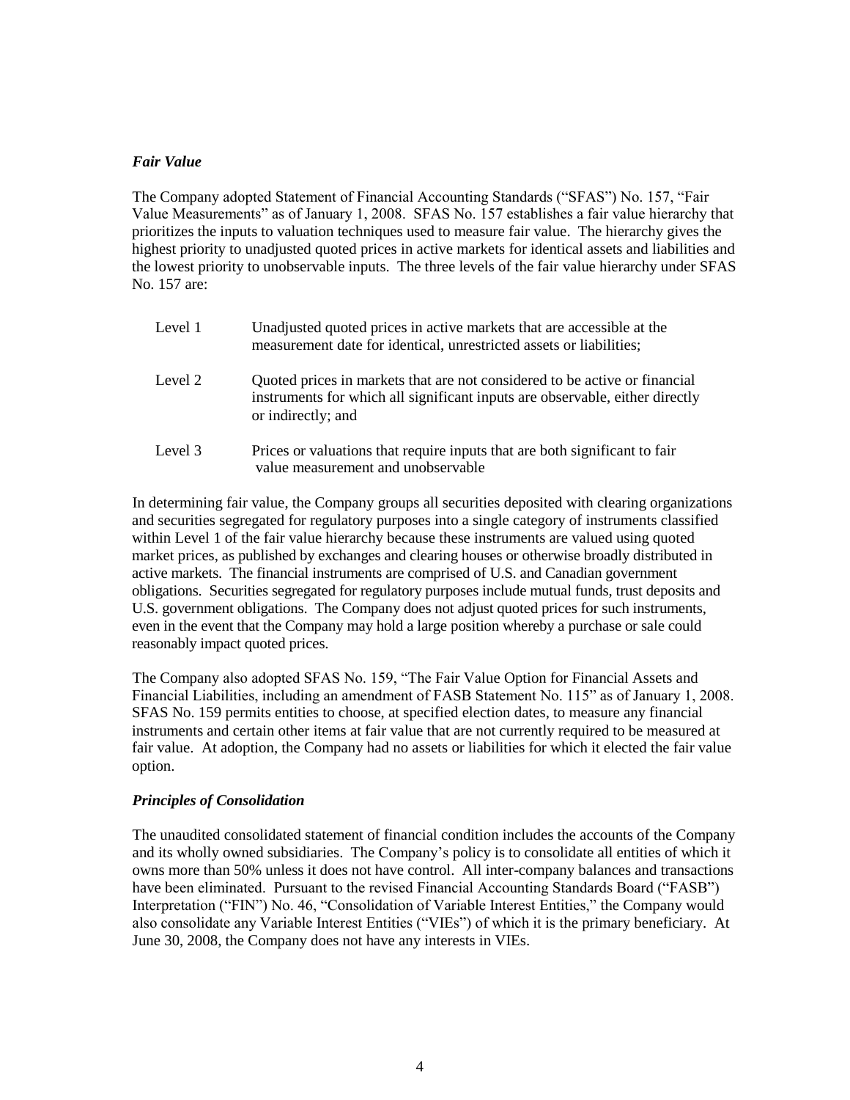#### *Fair Value*

The Company adopted Statement of Financial Accounting Standards ("SFAS") No. 157, "Fair Value Measurements" as of January 1, 2008. SFAS No. 157 establishes a fair value hierarchy that prioritizes the inputs to valuation techniques used to measure fair value. The hierarchy gives the highest priority to unadjusted quoted prices in active markets for identical assets and liabilities and the lowest priority to unobservable inputs. The three levels of the fair value hierarchy under SFAS No. 157 are:

| Level 1 | Unadjusted quoted prices in active markets that are accessible at the<br>measurement date for identical, unrestricted assets or liabilities;                                     |
|---------|----------------------------------------------------------------------------------------------------------------------------------------------------------------------------------|
| Level 2 | Quoted prices in markets that are not considered to be active or financial<br>instruments for which all significant inputs are observable, either directly<br>or indirectly; and |
| Level 3 | Prices or valuations that require inputs that are both significant to fair<br>value measurement and unobservable                                                                 |

In determining fair value, the Company groups all securities deposited with clearing organizations and securities segregated for regulatory purposes into a single category of instruments classified within Level 1 of the fair value hierarchy because these instruments are valued using quoted market prices, as published by exchanges and clearing houses or otherwise broadly distributed in active markets. The financial instruments are comprised of U.S. and Canadian government obligations. Securities segregated for regulatory purposes include mutual funds, trust deposits and U.S. government obligations. The Company does not adjust quoted prices for such instruments, even in the event that the Company may hold a large position whereby a purchase or sale could reasonably impact quoted prices.

The Company also adopted SFAS No. 159, "The Fair Value Option for Financial Assets and Financial Liabilities, including an amendment of FASB Statement No. 115" as of January 1, 2008. SFAS No. 159 permits entities to choose, at specified election dates, to measure any financial instruments and certain other items at fair value that are not currently required to be measured at fair value. At adoption, the Company had no assets or liabilities for which it elected the fair value option.

## *Principles of Consolidation*

The unaudited consolidated statement of financial condition includes the accounts of the Company and its wholly owned subsidiaries. The Company's policy is to consolidate all entities of which it owns more than 50% unless it does not have control. All inter-company balances and transactions have been eliminated. Pursuant to the revised Financial Accounting Standards Board ("FASB") Interpretation ("FIN") No. 46, "Consolidation of Variable Interest Entities," the Company would also consolidate any Variable Interest Entities ("VIEs") of which it is the primary beneficiary. At June 30, 2008, the Company does not have any interests in VIEs.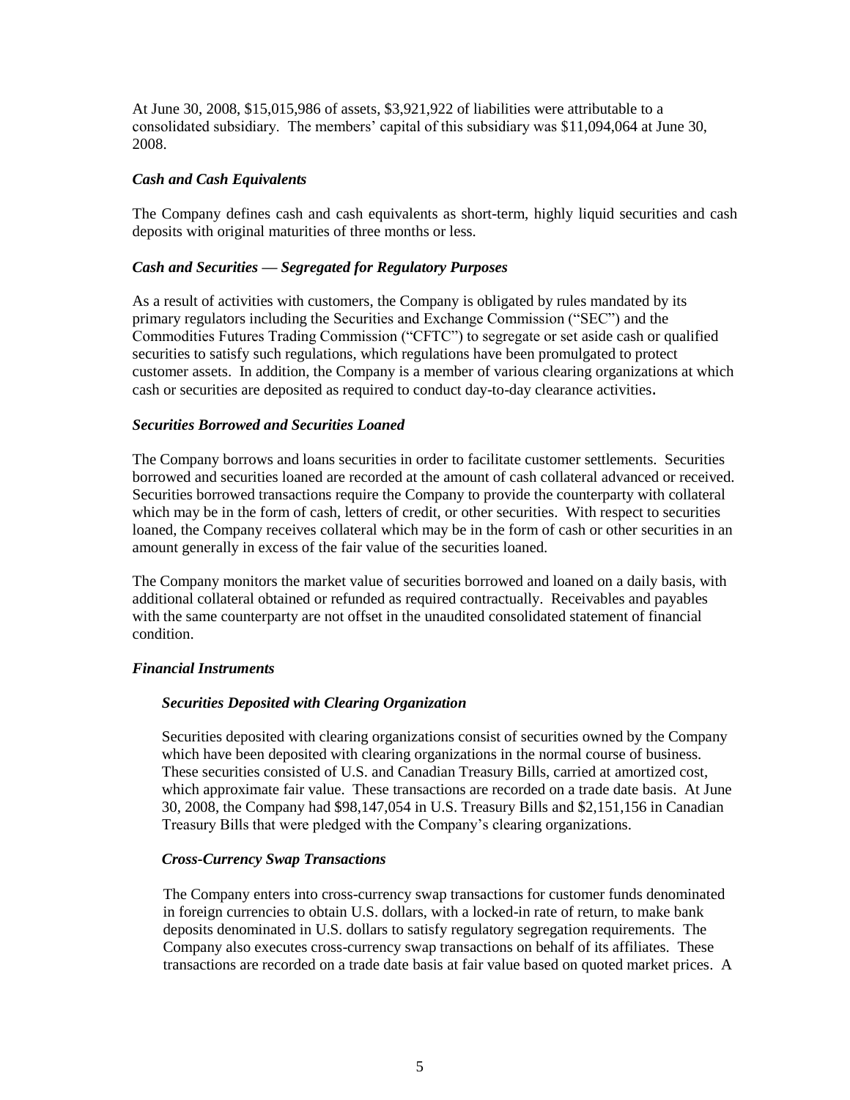At June 30, 2008, \$15,015,986 of assets, \$3,921,922 of liabilities were attributable to a consolidated subsidiary. The members' capital of this subsidiary was \$11,094,064 at June 30, 2008.

## *Cash and Cash Equivalents*

The Company defines cash and cash equivalents as short-term, highly liquid securities and cash deposits with original maturities of three months or less.

## *Cash and Securities — Segregated for Regulatory Purposes*

As a result of activities with customers, the Company is obligated by rules mandated by its primary regulators including the Securities and Exchange Commission ("SEC") and the Commodities Futures Trading Commission ("CFTC") to segregate or set aside cash or qualified securities to satisfy such regulations, which regulations have been promulgated to protect customer assets. In addition, the Company is a member of various clearing organizations at which cash or securities are deposited as required to conduct day-to-day clearance activities.

#### *Securities Borrowed and Securities Loaned*

The Company borrows and loans securities in order to facilitate customer settlements. Securities borrowed and securities loaned are recorded at the amount of cash collateral advanced or received. Securities borrowed transactions require the Company to provide the counterparty with collateral which may be in the form of cash, letters of credit, or other securities. With respect to securities loaned, the Company receives collateral which may be in the form of cash or other securities in an amount generally in excess of the fair value of the securities loaned.

The Company monitors the market value of securities borrowed and loaned on a daily basis, with additional collateral obtained or refunded as required contractually. Receivables and payables with the same counterparty are not offset in the unaudited consolidated statement of financial condition.

#### *Financial Instruments*

## *Securities Deposited with Clearing Organization*

Securities deposited with clearing organizations consist of securities owned by the Company which have been deposited with clearing organizations in the normal course of business. These securities consisted of U.S. and Canadian Treasury Bills, carried at amortized cost, which approximate fair value. These transactions are recorded on a trade date basis. At June 30, 2008, the Company had \$98,147,054 in U.S. Treasury Bills and \$2,151,156 in Canadian Treasury Bills that were pledged with the Company's clearing organizations.

#### *Cross-Currency Swap Transactions*

The Company enters into cross-currency swap transactions for customer funds denominated in foreign currencies to obtain U.S. dollars, with a locked-in rate of return, to make bank deposits denominated in U.S. dollars to satisfy regulatory segregation requirements. The Company also executes cross-currency swap transactions on behalf of its affiliates. These transactions are recorded on a trade date basis at fair value based on quoted market prices. A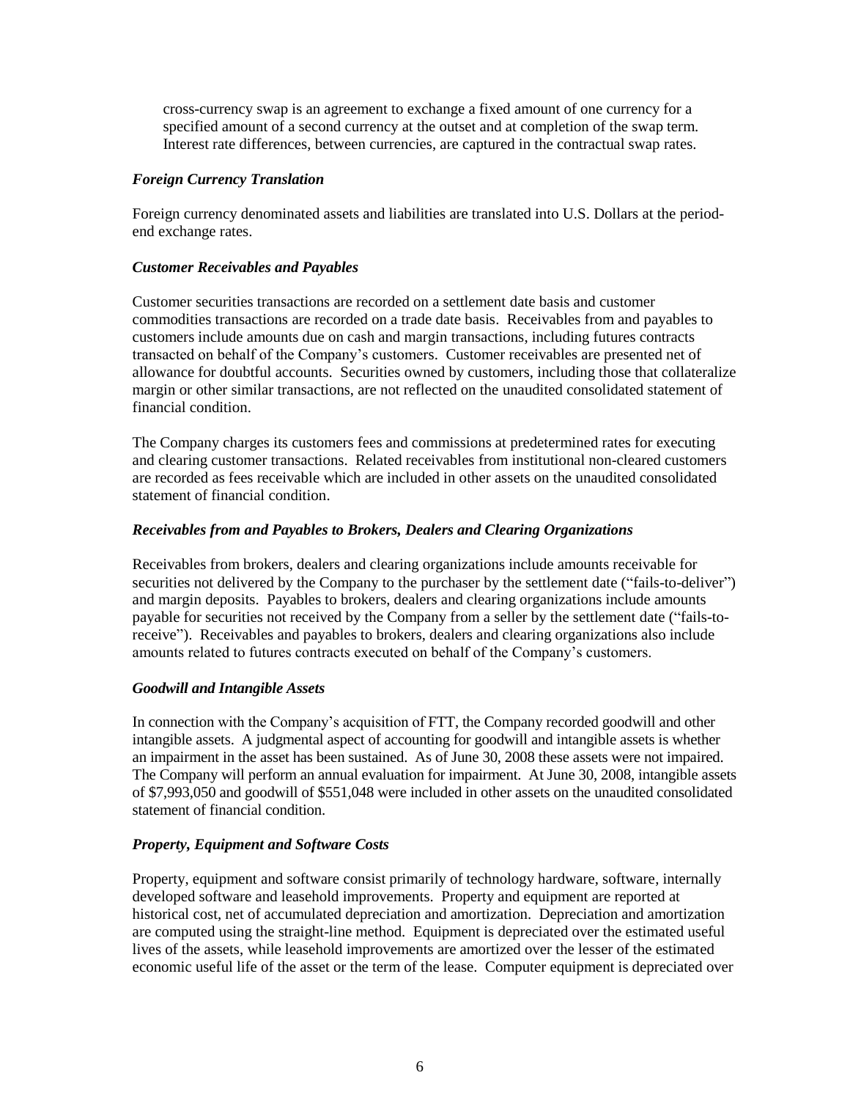cross-currency swap is an agreement to exchange a fixed amount of one currency for a specified amount of a second currency at the outset and at completion of the swap term. Interest rate differences, between currencies, are captured in the contractual swap rates.

## *Foreign Currency Translation*

Foreign currency denominated assets and liabilities are translated into U.S. Dollars at the periodend exchange rates.

## *Customer Receivables and Payables*

Customer securities transactions are recorded on a settlement date basis and customer commodities transactions are recorded on a trade date basis. Receivables from and payables to customers include amounts due on cash and margin transactions, including futures contracts transacted on behalf of the Company's customers. Customer receivables are presented net of allowance for doubtful accounts. Securities owned by customers, including those that collateralize margin or other similar transactions, are not reflected on the unaudited consolidated statement of financial condition.

The Company charges its customers fees and commissions at predetermined rates for executing and clearing customer transactions. Related receivables from institutional non-cleared customers are recorded as fees receivable which are included in other assets on the unaudited consolidated statement of financial condition.

# *Receivables from and Payables to Brokers, Dealers and Clearing Organizations*

Receivables from brokers, dealers and clearing organizations include amounts receivable for securities not delivered by the Company to the purchaser by the settlement date ("fails-to-deliver") and margin deposits. Payables to brokers, dealers and clearing organizations include amounts payable for securities not received by the Company from a seller by the settlement date ("fails-toreceive"). Receivables and payables to brokers, dealers and clearing organizations also include amounts related to futures contracts executed on behalf of the Company's customers.

## *Goodwill and Intangible Assets*

In connection with the Company's acquisition of FTT, the Company recorded goodwill and other intangible assets. A judgmental aspect of accounting for goodwill and intangible assets is whether an impairment in the asset has been sustained. As of June 30, 2008 these assets were not impaired. The Company will perform an annual evaluation for impairment. At June 30, 2008, intangible assets of \$7,993,050 and goodwill of \$551,048 were included in other assets on the unaudited consolidated statement of financial condition.

# *Property, Equipment and Software Costs*

Property, equipment and software consist primarily of technology hardware, software, internally developed software and leasehold improvements. Property and equipment are reported at historical cost, net of accumulated depreciation and amortization. Depreciation and amortization are computed using the straight-line method. Equipment is depreciated over the estimated useful lives of the assets, while leasehold improvements are amortized over the lesser of the estimated economic useful life of the asset or the term of the lease. Computer equipment is depreciated over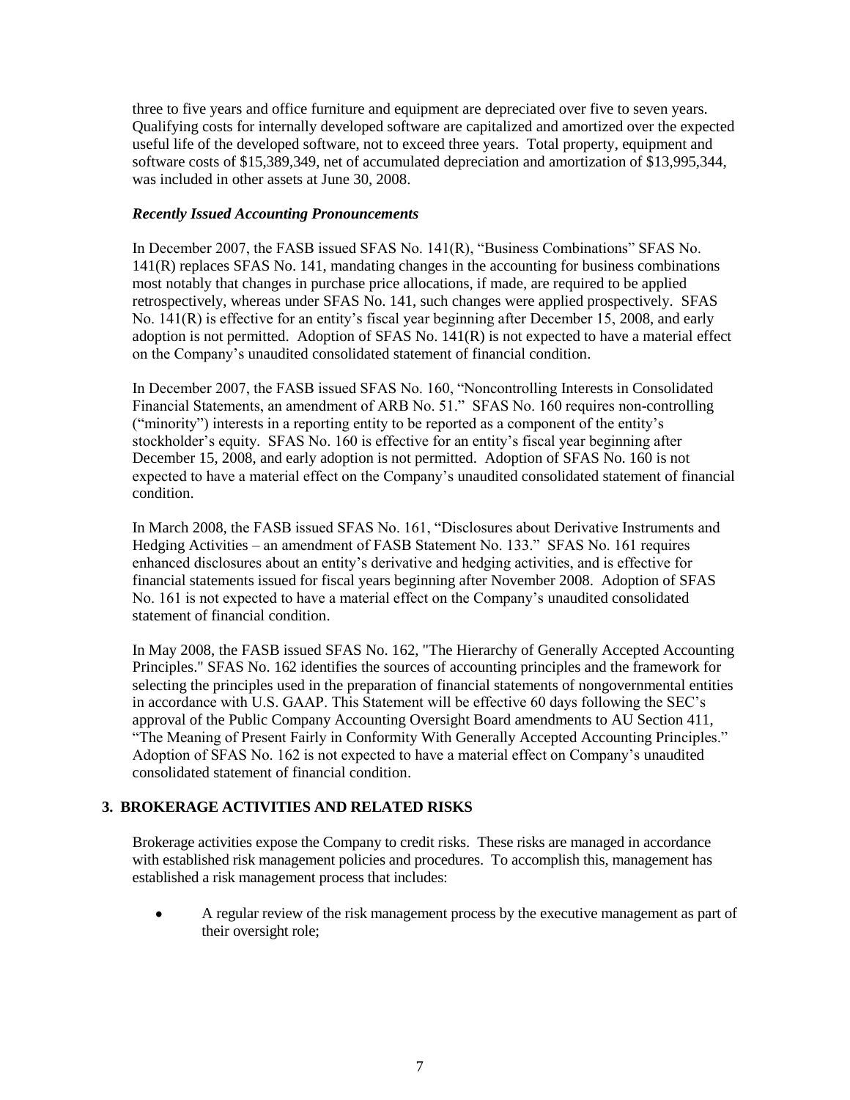three to five years and office furniture and equipment are depreciated over five to seven years. Qualifying costs for internally developed software are capitalized and amortized over the expected useful life of the developed software, not to exceed three years. Total property, equipment and software costs of \$15,389,349, net of accumulated depreciation and amortization of \$13,995,344, was included in other assets at June 30, 2008.

## *Recently Issued Accounting Pronouncements*

In December 2007, the FASB issued SFAS No. 141(R), "Business Combinations" SFAS No. 141(R) replaces SFAS No. 141, mandating changes in the accounting for business combinations most notably that changes in purchase price allocations, if made, are required to be applied retrospectively, whereas under SFAS No. 141, such changes were applied prospectively. SFAS No. 141(R) is effective for an entity's fiscal year beginning after December 15, 2008, and early adoption is not permitted. Adoption of SFAS No. 141(R) is not expected to have a material effect on the Company's unaudited consolidated statement of financial condition.

In December 2007, the FASB issued SFAS No. 160, "Noncontrolling Interests in Consolidated Financial Statements, an amendment of ARB No. 51." SFAS No. 160 requires non-controlling ("minority") interests in a reporting entity to be reported as a component of the entity's stockholder's equity. SFAS No. 160 is effective for an entity's fiscal year beginning after December 15, 2008, and early adoption is not permitted. Adoption of SFAS No. 160 is not expected to have a material effect on the Company's unaudited consolidated statement of financial condition.

In March 2008, the FASB issued SFAS No. 161, "Disclosures about Derivative Instruments and Hedging Activities – an amendment of FASB Statement No. 133." SFAS No. 161 requires enhanced disclosures about an entity's derivative and hedging activities, and is effective for financial statements issued for fiscal years beginning after November 2008. Adoption of SFAS No. 161 is not expected to have a material effect on the Company's unaudited consolidated statement of financial condition.

In May 2008, the FASB issued SFAS No. 162, "The Hierarchy of Generally Accepted Accounting Principles." SFAS No. 162 identifies the sources of accounting principles and the framework for selecting the principles used in the preparation of financial statements of nongovernmental entities in accordance with U.S. GAAP. This Statement will be effective 60 days following the SEC's approval of the Public Company Accounting Oversight Board amendments to AU Section 411, "The Meaning of Present Fairly in Conformity With Generally Accepted Accounting Principles." Adoption of SFAS No. 162 is not expected to have a material effect on Company's unaudited consolidated statement of financial condition.

## **3. BROKERAGE ACTIVITIES AND RELATED RISKS**

Brokerage activities expose the Company to credit risks. These risks are managed in accordance with established risk management policies and procedures. To accomplish this, management has established a risk management process that includes:

A regular review of the risk management process by the executive management as part of their oversight role;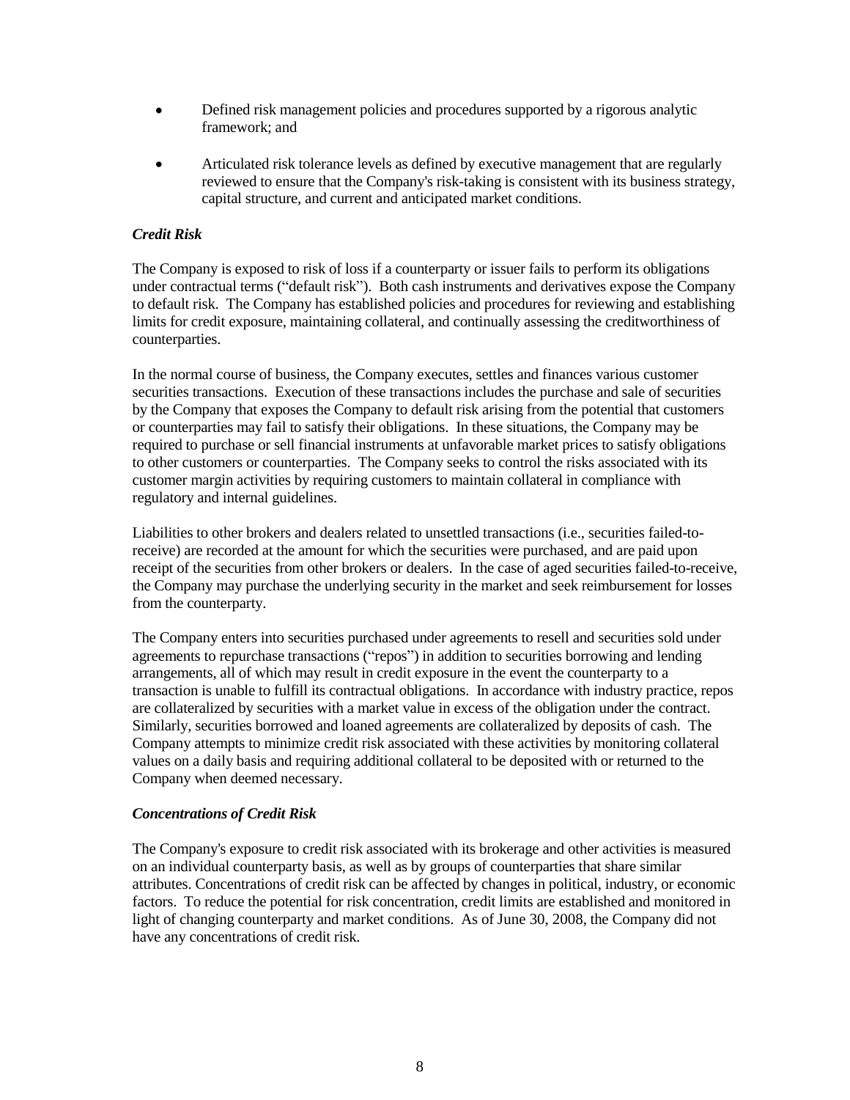- Defined risk management policies and procedures supported by a rigorous analytic framework; and
- Articulated risk tolerance levels as defined by executive management that are regularly reviewed to ensure that the Company's risk-taking is consistent with its business strategy, capital structure, and current and anticipated market conditions.

#### *Credit Risk*

The Company is exposed to risk of loss if a counterparty or issuer fails to perform its obligations under contractual terms ("default risk"). Both cash instruments and derivatives expose the Company to default risk. The Company has established policies and procedures for reviewing and establishing limits for credit exposure, maintaining collateral, and continually assessing the creditworthiness of counterparties.

In the normal course of business, the Company executes, settles and finances various customer securities transactions. Execution of these transactions includes the purchase and sale of securities by the Company that exposes the Company to default risk arising from the potential that customers or counterparties may fail to satisfy their obligations. In these situations, the Company may be required to purchase or sell financial instruments at unfavorable market prices to satisfy obligations to other customers or counterparties. The Company seeks to control the risks associated with its customer margin activities by requiring customers to maintain collateral in compliance with regulatory and internal guidelines.

Liabilities to other brokers and dealers related to unsettled transactions (i.e., securities failed-toreceive) are recorded at the amount for which the securities were purchased, and are paid upon receipt of the securities from other brokers or dealers. In the case of aged securities failed-to-receive, the Company may purchase the underlying security in the market and seek reimbursement for losses from the counterparty.

The Company enters into securities purchased under agreements to resell and securities sold under agreements to repurchase transactions ("repos") in addition to securities borrowing and lending arrangements, all of which may result in credit exposure in the event the counterparty to a transaction is unable to fulfill its contractual obligations. In accordance with industry practice, repos are collateralized by securities with a market value in excess of the obligation under the contract. Similarly, securities borrowed and loaned agreements are collateralized by deposits of cash. The Company attempts to minimize credit risk associated with these activities by monitoring collateral values on a daily basis and requiring additional collateral to be deposited with or returned to the Company when deemed necessary.

#### *Concentrations of Credit Risk*

The Company's exposure to credit risk associated with its brokerage and other activities is measured on an individual counterparty basis, as well as by groups of counterparties that share similar attributes. Concentrations of credit risk can be affected by changes in political, industry, or economic factors. To reduce the potential for risk concentration, credit limits are established and monitored in light of changing counterparty and market conditions. As of June 30, 2008, the Company did not have any concentrations of credit risk.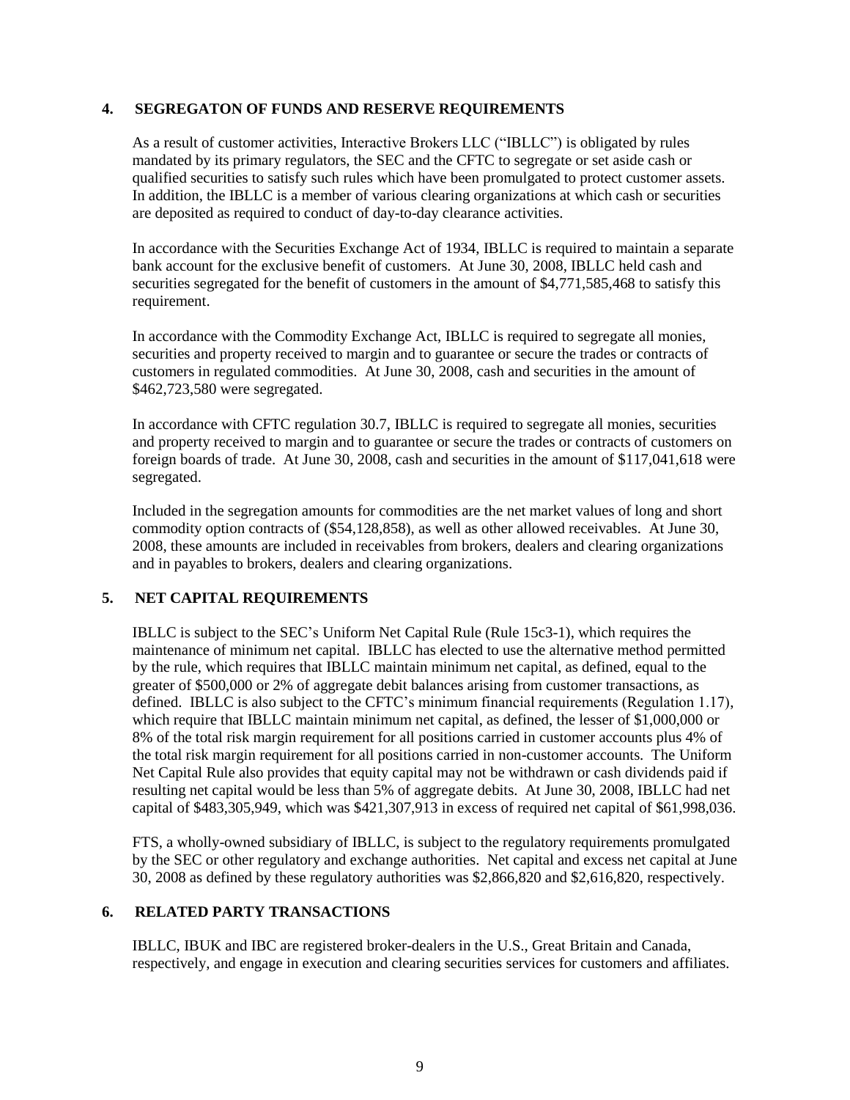#### **4. SEGREGATON OF FUNDS AND RESERVE REQUIREMENTS**

As a result of customer activities, Interactive Brokers LLC ("IBLLC") is obligated by rules mandated by its primary regulators, the SEC and the CFTC to segregate or set aside cash or qualified securities to satisfy such rules which have been promulgated to protect customer assets. In addition, the IBLLC is a member of various clearing organizations at which cash or securities are deposited as required to conduct of day-to-day clearance activities.

In accordance with the Securities Exchange Act of 1934, IBLLC is required to maintain a separate bank account for the exclusive benefit of customers. At June 30, 2008, IBLLC held cash and securities segregated for the benefit of customers in the amount of \$4,771,585,468 to satisfy this requirement.

In accordance with the Commodity Exchange Act, IBLLC is required to segregate all monies, securities and property received to margin and to guarantee or secure the trades or contracts of customers in regulated commodities. At June 30, 2008, cash and securities in the amount of \$462,723,580 were segregated.

In accordance with CFTC regulation 30.7, IBLLC is required to segregate all monies, securities and property received to margin and to guarantee or secure the trades or contracts of customers on foreign boards of trade. At June 30, 2008, cash and securities in the amount of \$117,041,618 were segregated.

Included in the segregation amounts for commodities are the net market values of long and short commodity option contracts of (\$54,128,858), as well as other allowed receivables. At June 30, 2008, these amounts are included in receivables from brokers, dealers and clearing organizations and in payables to brokers, dealers and clearing organizations.

## **5. NET CAPITAL REQUIREMENTS**

IBLLC is subject to the SEC's Uniform Net Capital Rule (Rule 15c3-1), which requires the maintenance of minimum net capital. IBLLC has elected to use the alternative method permitted by the rule, which requires that IBLLC maintain minimum net capital, as defined, equal to the greater of \$500,000 or 2% of aggregate debit balances arising from customer transactions, as defined. IBLLC is also subject to the CFTC's minimum financial requirements (Regulation 1.17), which require that IBLLC maintain minimum net capital, as defined, the lesser of \$1,000,000 or 8% of the total risk margin requirement for all positions carried in customer accounts plus 4% of the total risk margin requirement for all positions carried in non-customer accounts. The Uniform Net Capital Rule also provides that equity capital may not be withdrawn or cash dividends paid if resulting net capital would be less than 5% of aggregate debits. At June 30, 2008, IBLLC had net capital of \$483,305,949, which was \$421,307,913 in excess of required net capital of \$61,998,036.

FTS, a wholly-owned subsidiary of IBLLC, is subject to the regulatory requirements promulgated by the SEC or other regulatory and exchange authorities. Net capital and excess net capital at June 30, 2008 as defined by these regulatory authorities was \$2,866,820 and \$2,616,820, respectively.

## **6. RELATED PARTY TRANSACTIONS**

IBLLC, IBUK and IBC are registered broker-dealers in the U.S., Great Britain and Canada, respectively, and engage in execution and clearing securities services for customers and affiliates.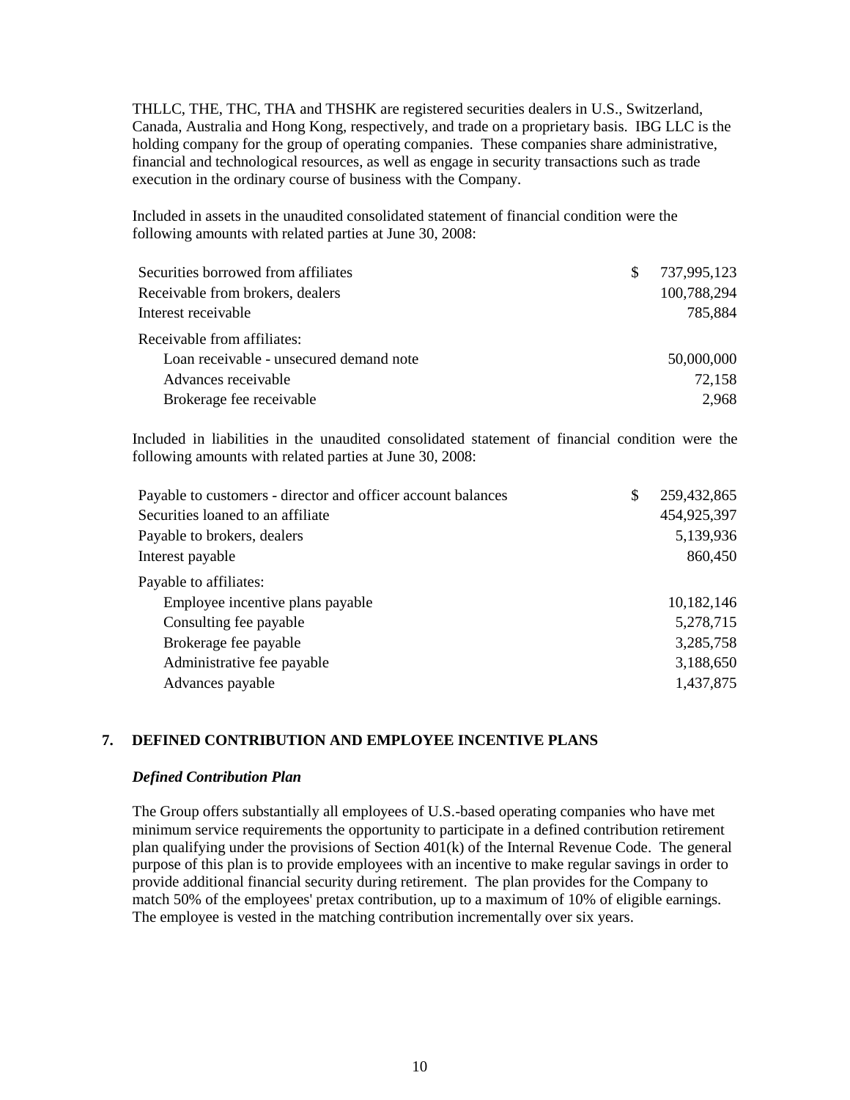THLLC, THE, THC, THA and THSHK are registered securities dealers in U.S., Switzerland, Canada, Australia and Hong Kong, respectively, and trade on a proprietary basis. IBG LLC is the holding company for the group of operating companies. These companies share administrative, financial and technological resources, as well as engage in security transactions such as trade execution in the ordinary course of business with the Company.

Included in assets in the unaudited consolidated statement of financial condition were the following amounts with related parties at June 30, 2008:

| 737,995,123 |
|-------------|
| 100,788,294 |
| 785,884     |
|             |
| 50,000,000  |
| 72,158      |
| 2,968       |
|             |

Included in liabilities in the unaudited consolidated statement of financial condition were the following amounts with related parties at June 30, 2008:

| Payable to customers - director and officer account balances | \$<br>259,432,865 |
|--------------------------------------------------------------|-------------------|
| Securities loaned to an affiliate                            | 454,925,397       |
| Payable to brokers, dealers                                  | 5,139,936         |
| Interest payable                                             | 860,450           |
| Payable to affiliates:                                       |                   |
| Employee incentive plans payable                             | 10,182,146        |
| Consulting fee payable                                       | 5,278,715         |
| Brokerage fee payable                                        | 3,285,758         |
| Administrative fee payable                                   | 3,188,650         |
| Advances payable                                             | 1,437,875         |

## **7. DEFINED CONTRIBUTION AND EMPLOYEE INCENTIVE PLANS**

#### *Defined Contribution Plan*

The Group offers substantially all employees of U.S.-based operating companies who have met minimum service requirements the opportunity to participate in a defined contribution retirement plan qualifying under the provisions of Section 401(k) of the Internal Revenue Code. The general purpose of this plan is to provide employees with an incentive to make regular savings in order to provide additional financial security during retirement. The plan provides for the Company to match 50% of the employees' pretax contribution, up to a maximum of 10% of eligible earnings. The employee is vested in the matching contribution incrementally over six years.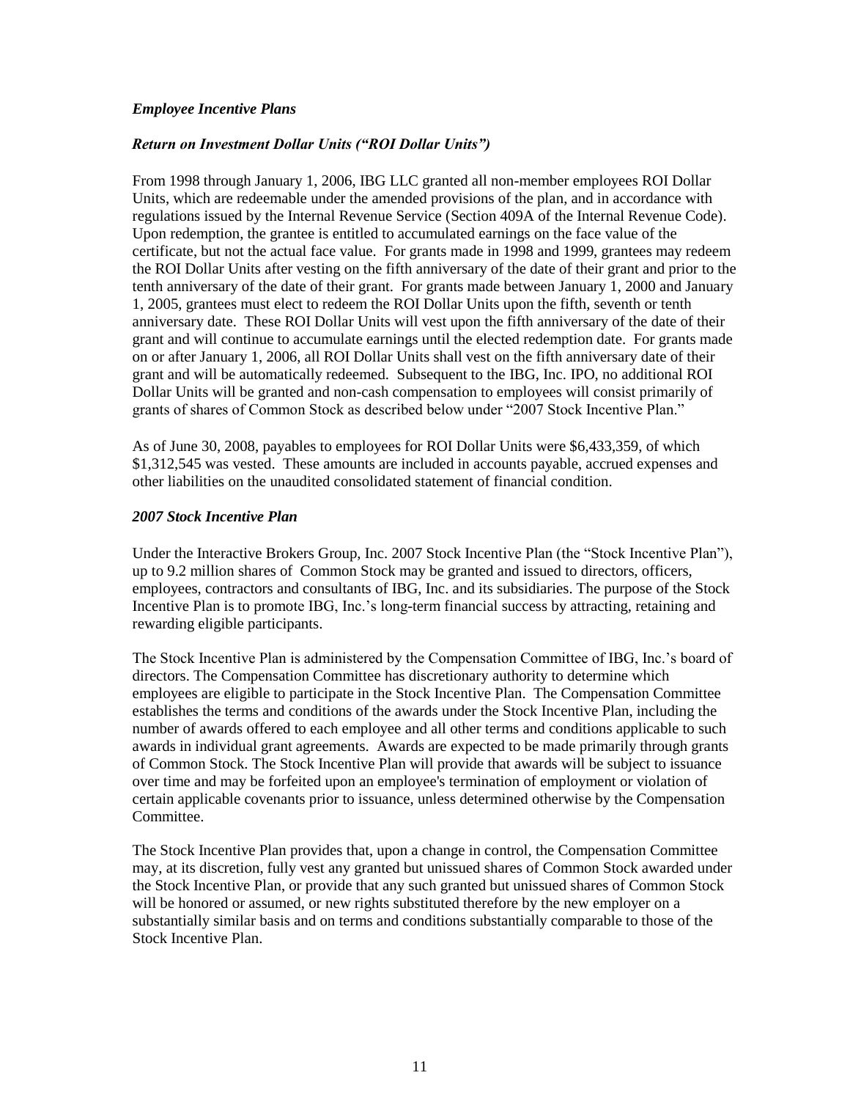#### *Employee Incentive Plans*

#### *Return on Investment Dollar Units ("ROI Dollar Units")*

From 1998 through January 1, 2006, IBG LLC granted all non-member employees ROI Dollar Units, which are redeemable under the amended provisions of the plan, and in accordance with regulations issued by the Internal Revenue Service (Section 409A of the Internal Revenue Code). Upon redemption, the grantee is entitled to accumulated earnings on the face value of the certificate, but not the actual face value. For grants made in 1998 and 1999, grantees may redeem the ROI Dollar Units after vesting on the fifth anniversary of the date of their grant and prior to the tenth anniversary of the date of their grant. For grants made between January 1, 2000 and January 1, 2005, grantees must elect to redeem the ROI Dollar Units upon the fifth, seventh or tenth anniversary date. These ROI Dollar Units will vest upon the fifth anniversary of the date of their grant and will continue to accumulate earnings until the elected redemption date. For grants made on or after January 1, 2006, all ROI Dollar Units shall vest on the fifth anniversary date of their grant and will be automatically redeemed. Subsequent to the IBG, Inc. IPO, no additional ROI Dollar Units will be granted and non-cash compensation to employees will consist primarily of grants of shares of Common Stock as described below under "2007 Stock Incentive Plan."

As of June 30, 2008, payables to employees for ROI Dollar Units were \$6,433,359, of which \$1,312,545 was vested. These amounts are included in accounts payable, accrued expenses and other liabilities on the unaudited consolidated statement of financial condition.

#### *2007 Stock Incentive Plan*

Under the Interactive Brokers Group, Inc. 2007 Stock Incentive Plan (the "Stock Incentive Plan"), up to 9.2 million shares of Common Stock may be granted and issued to directors, officers, employees, contractors and consultants of IBG, Inc. and its subsidiaries. The purpose of the Stock Incentive Plan is to promote IBG, Inc.'s long-term financial success by attracting, retaining and rewarding eligible participants.

The Stock Incentive Plan is administered by the Compensation Committee of IBG, Inc.'s board of directors. The Compensation Committee has discretionary authority to determine which employees are eligible to participate in the Stock Incentive Plan. The Compensation Committee establishes the terms and conditions of the awards under the Stock Incentive Plan, including the number of awards offered to each employee and all other terms and conditions applicable to such awards in individual grant agreements. Awards are expected to be made primarily through grants of Common Stock. The Stock Incentive Plan will provide that awards will be subject to issuance over time and may be forfeited upon an employee's termination of employment or violation of certain applicable covenants prior to issuance, unless determined otherwise by the Compensation Committee.

The Stock Incentive Plan provides that, upon a change in control, the Compensation Committee may, at its discretion, fully vest any granted but unissued shares of Common Stock awarded under the Stock Incentive Plan, or provide that any such granted but unissued shares of Common Stock will be honored or assumed, or new rights substituted therefore by the new employer on a substantially similar basis and on terms and conditions substantially comparable to those of the Stock Incentive Plan.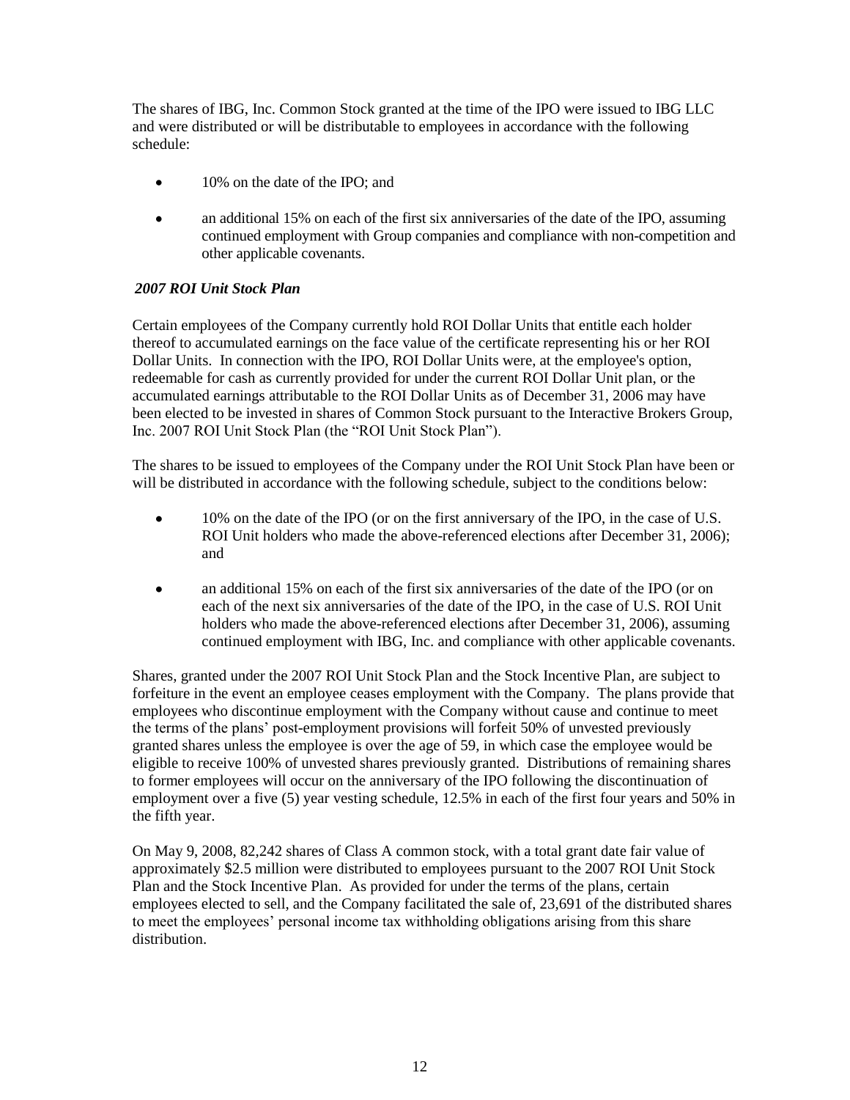The shares of IBG, Inc. Common Stock granted at the time of the IPO were issued to IBG LLC and were distributed or will be distributable to employees in accordance with the following schedule:

- $\bullet$ 10% on the date of the IPO; and
- an additional 15% on each of the first six anniversaries of the date of the IPO, assuming  $\bullet$ continued employment with Group companies and compliance with non-competition and other applicable covenants.

# *2007 ROI Unit Stock Plan*

Certain employees of the Company currently hold ROI Dollar Units that entitle each holder thereof to accumulated earnings on the face value of the certificate representing his or her ROI Dollar Units. In connection with the IPO, ROI Dollar Units were, at the employee's option, redeemable for cash as currently provided for under the current ROI Dollar Unit plan, or the accumulated earnings attributable to the ROI Dollar Units as of December 31, 2006 may have been elected to be invested in shares of Common Stock pursuant to the Interactive Brokers Group, Inc. 2007 ROI Unit Stock Plan (the "ROI Unit Stock Plan").

The shares to be issued to employees of the Company under the ROI Unit Stock Plan have been or will be distributed in accordance with the following schedule, subject to the conditions below:

- 10% on the date of the IPO (or on the first anniversary of the IPO, in the case of U.S. ROI Unit holders who made the above-referenced elections after December 31, 2006); and
- an additional 15% on each of the first six anniversaries of the date of the IPO (or on  $\bullet$ each of the next six anniversaries of the date of the IPO, in the case of U.S. ROI Unit holders who made the above-referenced elections after December 31, 2006), assuming continued employment with IBG, Inc. and compliance with other applicable covenants.

Shares, granted under the 2007 ROI Unit Stock Plan and the Stock Incentive Plan, are subject to forfeiture in the event an employee ceases employment with the Company. The plans provide that employees who discontinue employment with the Company without cause and continue to meet the terms of the plans' post-employment provisions will forfeit 50% of unvested previously granted shares unless the employee is over the age of 59, in which case the employee would be eligible to receive 100% of unvested shares previously granted. Distributions of remaining shares to former employees will occur on the anniversary of the IPO following the discontinuation of employment over a five (5) year vesting schedule, 12.5% in each of the first four years and 50% in the fifth year.

On May 9, 2008, 82,242 shares of Class A common stock, with a total grant date fair value of approximately \$2.5 million were distributed to employees pursuant to the 2007 ROI Unit Stock Plan and the Stock Incentive Plan. As provided for under the terms of the plans, certain employees elected to sell, and the Company facilitated the sale of, 23,691 of the distributed shares to meet the employees' personal income tax withholding obligations arising from this share distribution.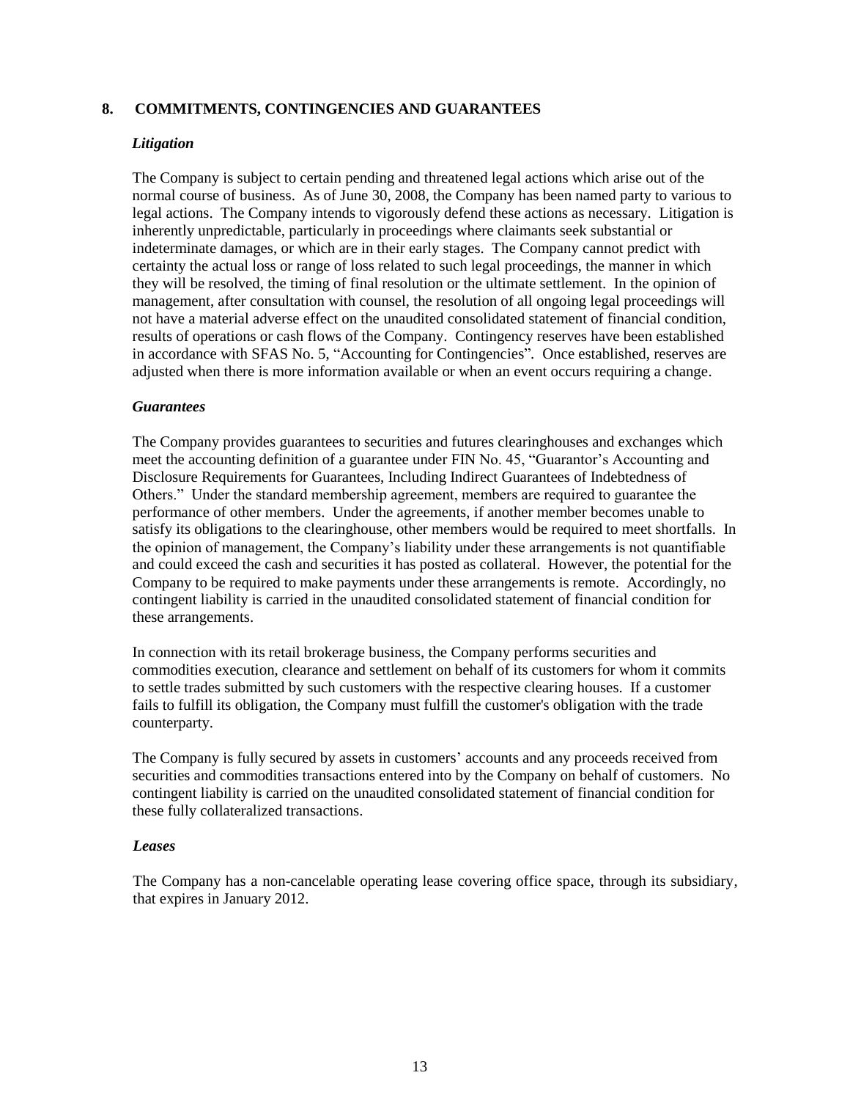#### **8. COMMITMENTS, CONTINGENCIES AND GUARANTEES**

#### *Litigation*

The Company is subject to certain pending and threatened legal actions which arise out of the normal course of business. As of June 30, 2008, the Company has been named party to various to legal actions. The Company intends to vigorously defend these actions as necessary. Litigation is inherently unpredictable, particularly in proceedings where claimants seek substantial or indeterminate damages, or which are in their early stages. The Company cannot predict with certainty the actual loss or range of loss related to such legal proceedings, the manner in which they will be resolved, the timing of final resolution or the ultimate settlement. In the opinion of management, after consultation with counsel, the resolution of all ongoing legal proceedings will not have a material adverse effect on the unaudited consolidated statement of financial condition, results of operations or cash flows of the Company. Contingency reserves have been established in accordance with SFAS No. 5, "Accounting for Contingencies"*.* Once established, reserves are adjusted when there is more information available or when an event occurs requiring a change.

#### *Guarantees*

The Company provides guarantees to securities and futures clearinghouses and exchanges which meet the accounting definition of a guarantee under FIN No. 45, "Guarantor's Accounting and Disclosure Requirements for Guarantees, Including Indirect Guarantees of Indebtedness of Others." Under the standard membership agreement, members are required to guarantee the performance of other members. Under the agreements, if another member becomes unable to satisfy its obligations to the clearinghouse, other members would be required to meet shortfalls. In the opinion of management, the Company's liability under these arrangements is not quantifiable and could exceed the cash and securities it has posted as collateral. However, the potential for the Company to be required to make payments under these arrangements is remote. Accordingly, no contingent liability is carried in the unaudited consolidated statement of financial condition for these arrangements.

In connection with its retail brokerage business, the Company performs securities and commodities execution, clearance and settlement on behalf of its customers for whom it commits to settle trades submitted by such customers with the respective clearing houses. If a customer fails to fulfill its obligation, the Company must fulfill the customer's obligation with the trade counterparty.

The Company is fully secured by assets in customers' accounts and any proceeds received from securities and commodities transactions entered into by the Company on behalf of customers. No contingent liability is carried on the unaudited consolidated statement of financial condition for these fully collateralized transactions.

#### *Leases*

The Company has a non-cancelable operating lease covering office space, through its subsidiary, that expires in January 2012.